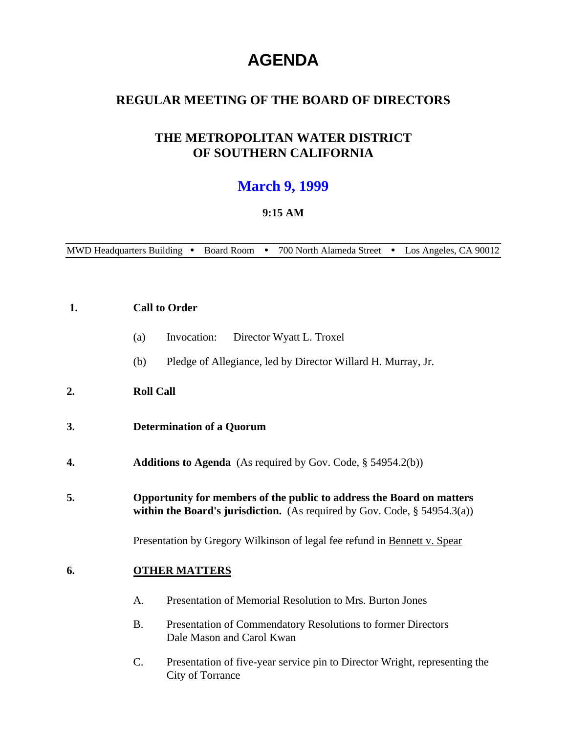# **AGENDA**

## **REGULAR MEETING OF THE BOARD OF DIRECTORS**

## **THE METROPOLITAN WATER DISTRICT OF SOUTHERN CALIFORNIA**

## **March 9, 1999**

## **9:15 AM**

MWD Headquarters Building • Board Room • 700 North Alameda Street • Los Angeles, CA 90012

| 1. | <b>Call to Order</b>                                                                                                                                  |  |  |  |
|----|-------------------------------------------------------------------------------------------------------------------------------------------------------|--|--|--|
|    | Invocation:<br>Director Wyatt L. Troxel<br>(a)                                                                                                        |  |  |  |
|    | Pledge of Allegiance, led by Director Willard H. Murray, Jr.<br>(b)                                                                                   |  |  |  |
| 2. | <b>Roll Call</b>                                                                                                                                      |  |  |  |
| 3. | <b>Determination of a Quorum</b>                                                                                                                      |  |  |  |
| 4. | <b>Additions to Agenda</b> (As required by Gov. Code, $\S$ 54954.2(b))                                                                                |  |  |  |
| 5. | Opportunity for members of the public to address the Board on matters<br>within the Board's jurisdiction. (As required by Gov. Code, $\S$ 54954.3(a)) |  |  |  |
|    | Presentation by Gregory Wilkinson of legal fee refund in Bennett v. Spear                                                                             |  |  |  |
| 6. | <b>OTHER MATTERS</b>                                                                                                                                  |  |  |  |
|    | A.<br>Presentation of Memorial Resolution to Mrs. Burton Jones                                                                                        |  |  |  |
|    | <b>B.</b><br>Presentation of Commendatory Resolutions to former Directors<br>Dale Mason and Carol Kwan                                                |  |  |  |
|    | C.<br>Presentation of five-year service pin to Director Wright, representing the<br>City of Torrance                                                  |  |  |  |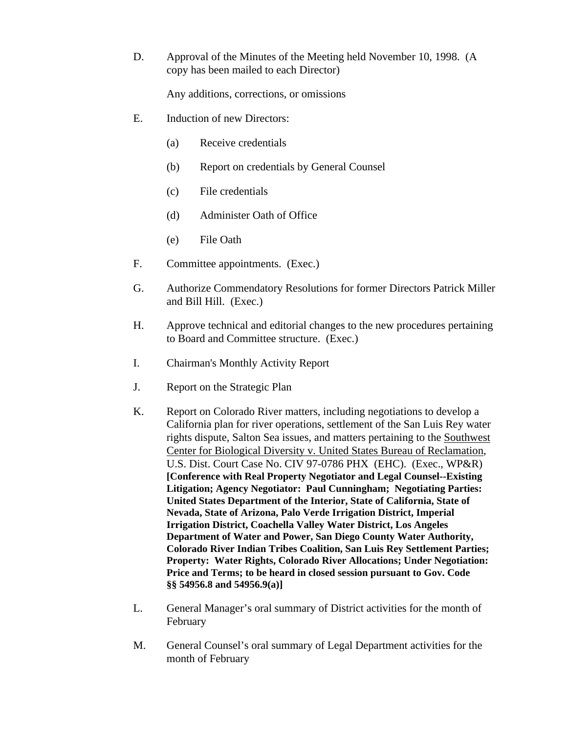D. Approval of the Minutes of the Meeting held November 10, 1998. (A copy has been mailed to each Director)

Any additions, corrections, or omissions

- E. Induction of new Directors:
	- (a) Receive credentials
	- (b) Report on credentials by General Counsel
	- (c) File credentials
	- (d) Administer Oath of Office
	- (e) File Oath
- F. Committee appointments. (Exec.)
- G. Authorize Commendatory Resolutions for former Directors Patrick Miller and Bill Hill. (Exec.)
- H. Approve technical and editorial changes to the new procedures pertaining to Board and Committee structure. (Exec.)
- I. Chairman's Monthly Activity Report
- J. Report on the Strategic Plan
- K. Report on Colorado River matters, including negotiations to develop a California plan for river operations, settlement of the San Luis Rey water rights dispute, Salton Sea issues, and matters pertaining to the Southwest Center for Biological Diversity v. United States Bureau of Reclamation, U.S. Dist. Court Case No. CIV 97-0786 PHX (EHC). (Exec., WP&R) **[Conference with Real Property Negotiator and Legal Counsel--Existing Litigation; Agency Negotiator: Paul Cunningham; Negotiating Parties: United States Department of the Interior, State of California, State of Nevada, State of Arizona, Palo Verde Irrigation District, Imperial Irrigation District, Coachella Valley Water District, Los Angeles Department of Water and Power, San Diego County Water Authority, Colorado River Indian Tribes Coalition, San Luis Rey Settlement Parties; Property: Water Rights, Colorado River Allocations; Under Negotiation: Price and Terms; to be heard in closed session pursuant to Gov. Code §§ 54956.8 and 54956.9(a)]**
- L. General Manager's oral summary of District activities for the month of February
- M. General Counsel's oral summary of Legal Department activities for the month of February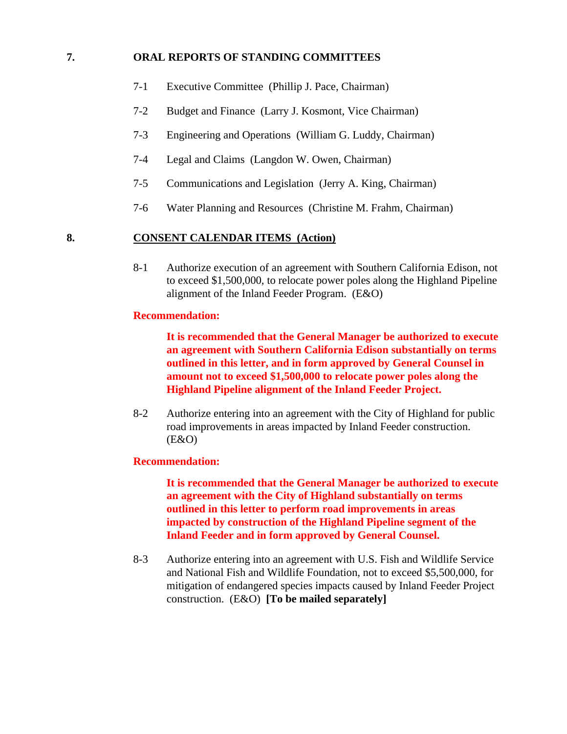## **7. ORAL REPORTS OF STANDING COMMITTEES**

- 7-1 Executive Committee (Phillip J. Pace, Chairman)
- 7-2 Budget and Finance (Larry J. Kosmont, Vice Chairman)
- 7-3 Engineering and Operations (William G. Luddy, Chairman)
- 7-4 Legal and Claims (Langdon W. Owen, Chairman)
- 7-5 Communications and Legislation (Jerry A. King, Chairman)
- 7-6 Water Planning and Resources (Christine M. Frahm, Chairman)

## **8. CONSENT CALENDAR ITEMS (Action)**

8-1 Authorize execution of an agreement with Southern California Edison, not to exceed \$1,500,000, to relocate power poles along the Highland Pipeline alignment of the Inland Feeder Program. (E&O)

## **Recommendation:**

**It is recommended that the General Manager be authorized to execute an agreement with Southern California Edison substantially on terms outlined in this letter, and in form approved by General Counsel in amount not to exceed \$1,500,000 to relocate power poles along the Highland Pipeline alignment of the Inland Feeder Project.**

8-2 Authorize entering into an agreement with the City of Highland for public road improvements in areas impacted by Inland Feeder construction. (E&O)

## **Recommendation:**

**It is recommended that the General Manager be authorized to execute an agreement with the City of Highland substantially on terms outlined in this letter to perform road improvements in areas impacted by construction of the Highland Pipeline segment of the Inland Feeder and in form approved by General Counsel.**

8-3 Authorize entering into an agreement with U.S. Fish and Wildlife Service and National Fish and Wildlife Foundation, not to exceed \$5,500,000, for mitigation of endangered species impacts caused by Inland Feeder Project construction. (E&O) **[To be mailed separately]**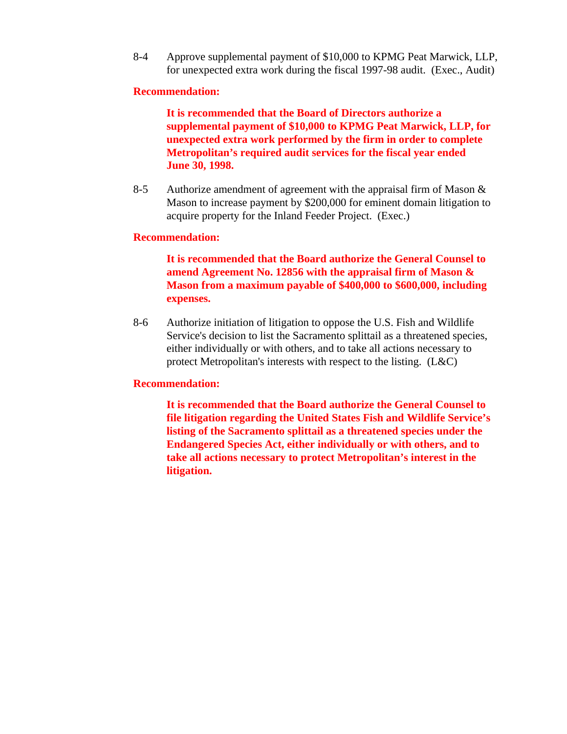8-4 Approve supplemental payment of \$10,000 to KPMG Peat Marwick, LLP, for unexpected extra work during the fiscal 1997-98 audit. (Exec., Audit)

## **Recommendation:**

**It is recommended that the Board of Directors authorize a supplemental payment of \$10,000 to KPMG Peat Marwick, LLP, for unexpected extra work performed by the firm in order to complete Metropolitan's required audit services for the fiscal year ended June 30, 1998.**

8-5 Authorize amendment of agreement with the appraisal firm of Mason  $\&$ Mason to increase payment by \$200,000 for eminent domain litigation to acquire property for the Inland Feeder Project. (Exec.)

## **Recommendation:**

**It is recommended that the Board authorize the General Counsel to amend Agreement No. 12856 with the appraisal firm of Mason & Mason from a maximum payable of \$400,000 to \$600,000, including expenses.**

8-6 Authorize initiation of litigation to oppose the U.S. Fish and Wildlife Service's decision to list the Sacramento splittail as a threatened species, either individually or with others, and to take all actions necessary to protect Metropolitan's interests with respect to the listing. (L&C)

## **Recommendation:**

**It is recommended that the Board authorize the General Counsel to file litigation regarding the United States Fish and Wildlife Service's listing of the Sacramento splittail as a threatened species under the Endangered Species Act, either individually or with others, and to take all actions necessary to protect Metropolitan's interest in the litigation.**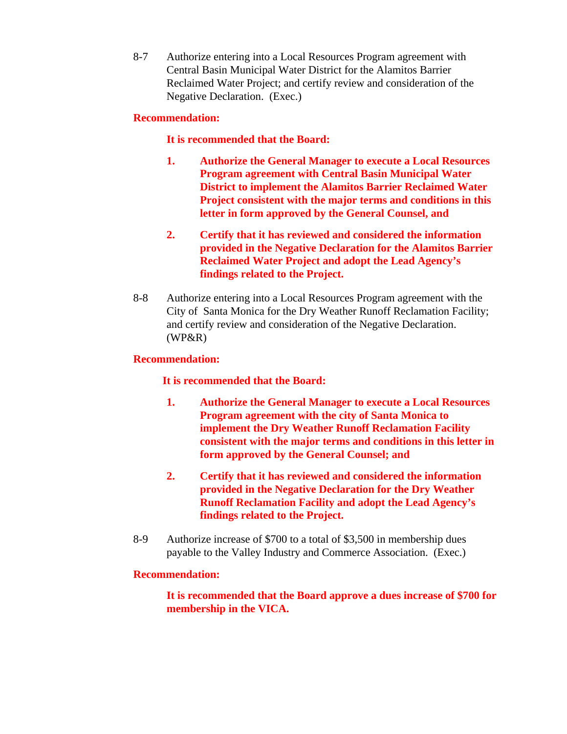8-7 Authorize entering into a Local Resources Program agreement with Central Basin Municipal Water District for the Alamitos Barrier Reclaimed Water Project; and certify review and consideration of the Negative Declaration. (Exec.)

## **Recommendation:**

## **It is recommended that the Board:**

- **1. Authorize the General Manager to execute a Local Resources Program agreement with Central Basin Municipal Water District to implement the Alamitos Barrier Reclaimed Water Project consistent with the major terms and conditions in this letter in form approved by the General Counsel, and**
- **2. Certify that it has reviewed and considered the information provided in the Negative Declaration for the Alamitos Barrier Reclaimed Water Project and adopt the Lead Agency's findings related to the Project.**
- 8-8 Authorize entering into a Local Resources Program agreement with the City of Santa Monica for the Dry Weather Runoff Reclamation Facility; and certify review and consideration of the Negative Declaration. (WP&R)

## **Recommendation:**

## **It is recommended that the Board:**

- **1. Authorize the General Manager to execute a Local Resources Program agreement with the city of Santa Monica to implement the Dry Weather Runoff Reclamation Facility consistent with the major terms and conditions in this letter in form approved by the General Counsel; and**
- **2. Certify that it has reviewed and considered the information provided in the Negative Declaration for the Dry Weather Runoff Reclamation Facility and adopt the Lead Agency's findings related to the Project.**
- 8-9 Authorize increase of \$700 to a total of \$3,500 in membership dues payable to the Valley Industry and Commerce Association. (Exec.)

## **Recommendation:**

**It is recommended that the Board approve a dues increase of \$700 for membership in the VICA.**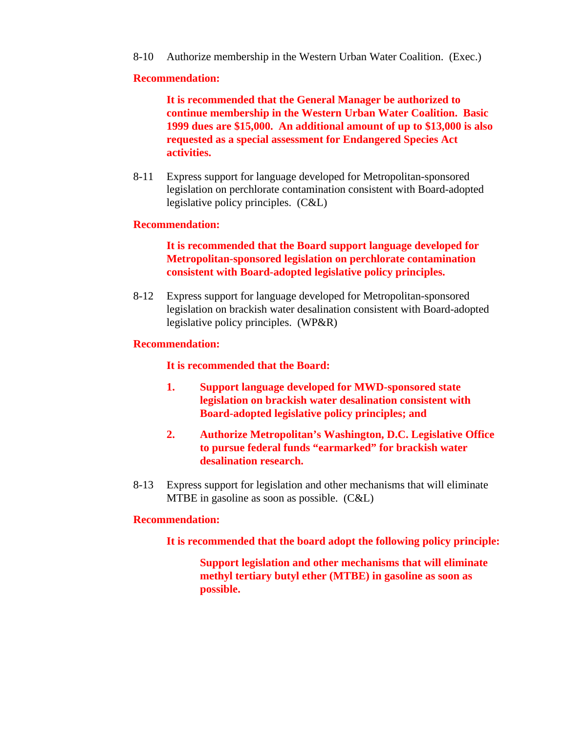8-10 Authorize membership in the Western Urban Water Coalition. (Exec.)

## **Recommendation:**

**It is recommended that the General Manager be authorized to continue membership in the Western Urban Water Coalition. Basic 1999 dues are \$15,000. An additional amount of up to \$13,000 is also requested as a special assessment for Endangered Species Act activities.**

8-11 Express support for language developed for Metropolitan-sponsored legislation on perchlorate contamination consistent with Board-adopted legislative policy principles. (C&L)

## **Recommendation:**

**It is recommended that the Board support language developed for Metropolitan-sponsored legislation on perchlorate contamination consistent with Board-adopted legislative policy principles.**

8-12 Express support for language developed for Metropolitan-sponsored legislation on brackish water desalination consistent with Board-adopted legislative policy principles. (WP&R)

#### **Recommendation:**

#### **It is recommended that the Board:**

- **1. Support language developed for MWD-sponsored state legislation on brackish water desalination consistent with Board-adopted legislative policy principles; and**
- **2. Authorize Metropolitan's Washington, D.C. Legislative Office to pursue federal funds "earmarked" for brackish water desalination research.**
- 8-13 Express support for legislation and other mechanisms that will eliminate MTBE in gasoline as soon as possible. (C&L)

#### **Recommendation:**

**It is recommended that the board adopt the following policy principle:**

**Support legislation and other mechanisms that will eliminate methyl tertiary butyl ether (MTBE) in gasoline as soon as possible.**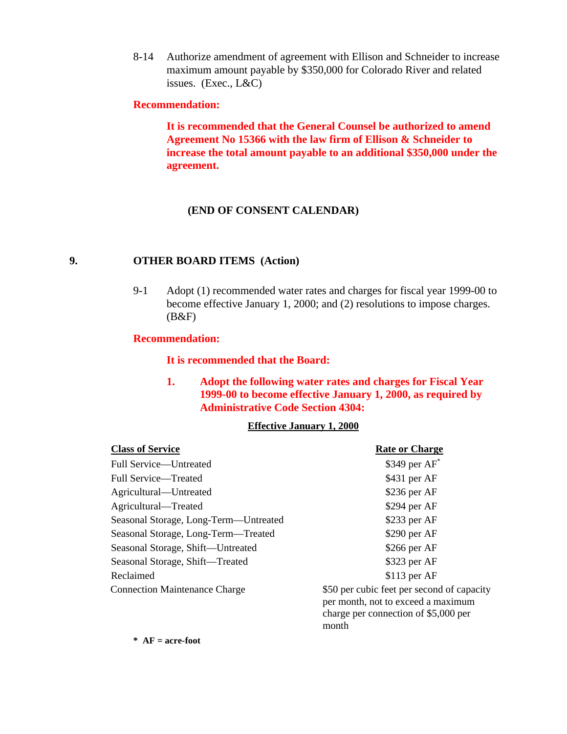8-14 Authorize amendment of agreement with Ellison and Schneider to increase maximum amount payable by \$350,000 for Colorado River and related issues. (Exec., L&C)

#### **Recommendation:**

**It is recommended that the General Counsel be authorized to amend Agreement No 15366 with the law firm of Ellison & Schneider to increase the total amount payable to an additional \$350,000 under the agreement.**

## **(END OF CONSENT CALENDAR)**

## **9. OTHER BOARD ITEMS (Action)**

9-1 Adopt (1) recommended water rates and charges for fiscal year 1999-00 to become effective January 1, 2000; and (2) resolutions to impose charges. (B&F)

#### **Recommendation:**

**It is recommended that the Board:**

**1. Adopt the following water rates and charges for Fiscal Year 1999-00 to become effective January 1, 2000, as required by Administrative Code Section 4304:**

month

#### **Effective January 1, 2000**

| <b>Class of Service</b>               | <b>Rate or Charge</b>                                                                                                    |  |
|---------------------------------------|--------------------------------------------------------------------------------------------------------------------------|--|
| Full Service—Untreated                | $$349$ per AF <sup>*</sup>                                                                                               |  |
| Full Service-Treated                  | \$431 per AF                                                                                                             |  |
| Agricultural—Untreated                | \$236 per AF                                                                                                             |  |
| Agricultural—Treated                  | \$294 per AF                                                                                                             |  |
| Seasonal Storage, Long-Term-Untreated | \$233 per AF                                                                                                             |  |
| Seasonal Storage, Long-Term—Treated   | \$290 per AF                                                                                                             |  |
| Seasonal Storage, Shift-Untreated     | \$266 per AF                                                                                                             |  |
| Seasonal Storage, Shift-Treated       | \$323 per AF                                                                                                             |  |
| Reclaimed                             | $$113$ per AF                                                                                                            |  |
| <b>Connection Maintenance Charge</b>  | \$50 per cubic feet per second of capacity<br>per month, not to exceed a maximum<br>charge per connection of \$5,000 per |  |

**\* AF = acre-foot**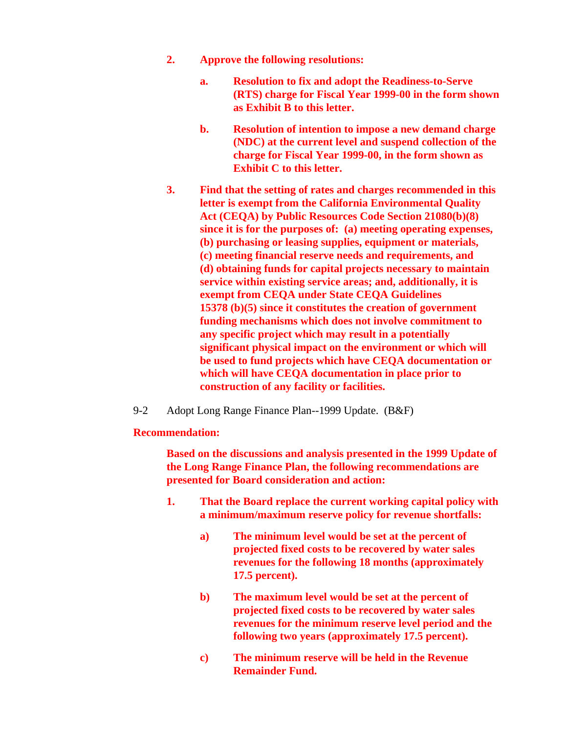- **2. Approve the following resolutions:**
	- **a. Resolution to fix and adopt the Readiness-to-Serve (RTS) charge for Fiscal Year 1999-00 in the form shown as Exhibit B to this letter.**
	- **b. Resolution of intention to impose a new demand charge (NDC) at the current level and suspend collection of the charge for Fiscal Year 1999-00, in the form shown as Exhibit C to this letter.**
- **3. Find that the setting of rates and charges recommended in this letter is exempt from the California Environmental Quality Act (CEQA) by Public Resources Code Section 21080(b)(8) since it is for the purposes of: (a) meeting operating expenses, (b) purchasing or leasing supplies, equipment or materials, (c) meeting financial reserve needs and requirements, and (d) obtaining funds for capital projects necessary to maintain service within existing service areas; and, additionally, it is exempt from CEQA under State CEQA Guidelines 15378 (b)(5) since it constitutes the creation of government funding mechanisms which does not involve commitment to any specific project which may result in a potentially significant physical impact on the environment or which will be used to fund projects which have CEQA documentation or which will have CEQA documentation in place prior to construction of any facility or facilities.**
- 9-2 Adopt Long Range Finance Plan--1999 Update. (B&F)

## **Recommendation:**

**Based on the discussions and analysis presented in the 1999 Update of the Long Range Finance Plan, the following recommendations are presented for Board consideration and action:**

- **1. That the Board replace the current working capital policy with a minimum/maximum reserve policy for revenue shortfalls:**
	- **a) The minimum level would be set at the percent of projected fixed costs to be recovered by water sales revenues for the following 18 months (approximately 17.5 percent).**
	- **b) The maximum level would be set at the percent of projected fixed costs to be recovered by water sales revenues for the minimum reserve level period and the following two years (approximately 17.5 percent).**
	- **c) The minimum reserve will be held in the Revenue Remainder Fund.**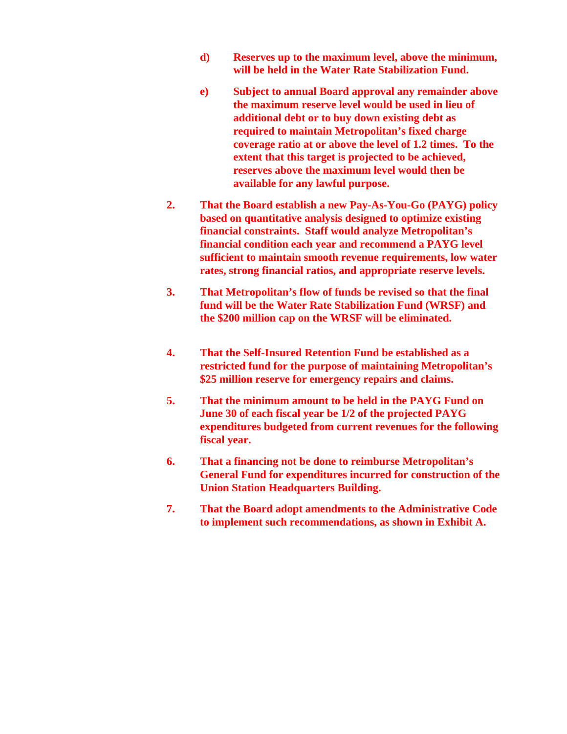- **d) Reserves up to the maximum level, above the minimum, will be held in the Water Rate Stabilization Fund.**
- **e) Subject to annual Board approval any remainder above the maximum reserve level would be used in lieu of additional debt or to buy down existing debt as required to maintain Metropolitan's fixed charge coverage ratio at or above the level of 1.2 times. To the extent that this target is projected to be achieved, reserves above the maximum level would then be available for any lawful purpose.**
- **2. That the Board establish a new Pay-As-You-Go (PAYG) policy based on quantitative analysis designed to optimize existing financial constraints. Staff would analyze Metropolitan's financial condition each year and recommend a PAYG level sufficient to maintain smooth revenue requirements, low water rates, strong financial ratios, and appropriate reserve levels.**
- **3. That Metropolitan's flow of funds be revised so that the final fund will be the Water Rate Stabilization Fund (WRSF) and the \$200 million cap on the WRSF will be eliminated.**
- **4. That the Self-Insured Retention Fund be established as a restricted fund for the purpose of maintaining Metropolitan's \$25 million reserve for emergency repairs and claims.**
- **5. That the minimum amount to be held in the PAYG Fund on June 30 of each fiscal year be 1/2 of the projected PAYG expenditures budgeted from current revenues for the following fiscal year.**
- **6. That a financing not be done to reimburse Metropolitan's General Fund for expenditures incurred for construction of the Union Station Headquarters Building.**
- **7. That the Board adopt amendments to the Administrative Code to implement such recommendations, as shown in Exhibit A.**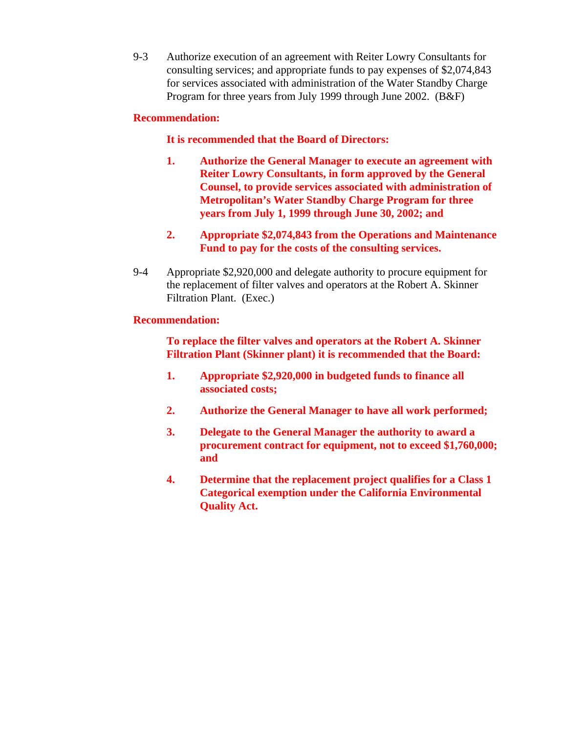9-3 Authorize execution of an agreement with Reiter Lowry Consultants for consulting services; and appropriate funds to pay expenses of \$2,074,843 for services associated with administration of the Water Standby Charge Program for three years from July 1999 through June 2002. (B&F)

## **Recommendation:**

## **It is recommended that the Board of Directors:**

- **1. Authorize the General Manager to execute an agreement with Reiter Lowry Consultants, in form approved by the General Counsel, to provide services associated with administration of Metropolitan's Water Standby Charge Program for three years from July 1, 1999 through June 30, 2002; and**
- **2. Appropriate \$2,074,843 from the Operations and Maintenance Fund to pay for the costs of the consulting services.**
- 9-4 Appropriate \$2,920,000 and delegate authority to procure equipment for the replacement of filter valves and operators at the Robert A. Skinner Filtration Plant. (Exec.)

## **Recommendation:**

**To replace the filter valves and operators at the Robert A. Skinner Filtration Plant (Skinner plant) it is recommended that the Board:**

- **1. Appropriate \$2,920,000 in budgeted funds to finance all associated costs;**
- **2. Authorize the General Manager to have all work performed;**
- **3. Delegate to the General Manager the authority to award a procurement contract for equipment, not to exceed \$1,760,000; and**
- **4. Determine that the replacement project qualifies for a Class 1 Categorical exemption under the California Environmental Quality Act.**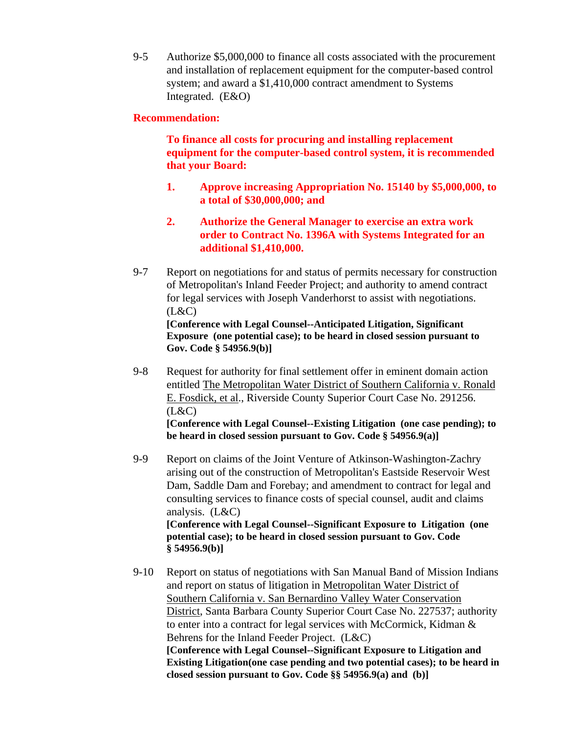9-5 Authorize \$5,000,000 to finance all costs associated with the procurement and installation of replacement equipment for the computer-based control system; and award a \$1,410,000 contract amendment to Systems Integrated. (E&O)

## **Recommendation:**

**To finance all costs for procuring and installing replacement equipment for the computer-based control system, it is recommended that your Board:**

- **1. Approve increasing Appropriation No. 15140 by \$5,000,000, to a total of \$30,000,000; and**
- **2. Authorize the General Manager to exercise an extra work order to Contract No. 1396A with Systems Integrated for an additional \$1,410,000.**
- 9-7 Report on negotiations for and status of permits necessary for construction of Metropolitan's Inland Feeder Project; and authority to amend contract for legal services with Joseph Vanderhorst to assist with negotiations.  $(L&C)$ **[Conference with Legal Counsel--Anticipated Litigation, Significant Exposure (one potential case); to be heard in closed session pursuant to Gov. Code § 54956.9(b)]**
- 9-8 Request for authority for final settlement offer in eminent domain action entitled The Metropolitan Water District of Southern California v. Ronald E. Fosdick, et al., Riverside County Superior Court Case No. 291256.  $(L&C)$ **[Conference with Legal Counsel--Existing Litigation (one case pending); to be heard in closed session pursuant to Gov. Code § 54956.9(a)]**
- 9-9 Report on claims of the Joint Venture of Atkinson-Washington-Zachry arising out of the construction of Metropolitan's Eastside Reservoir West Dam, Saddle Dam and Forebay; and amendment to contract for legal and consulting services to finance costs of special counsel, audit and claims analysis. (L&C) **[Conference with Legal Counsel--Significant Exposure to Litigation (one potential case); to be heard in closed session pursuant to Gov. Code § 54956.9(b)]**
- 9-10 Report on status of negotiations with San Manual Band of Mission Indians and report on status of litigation in Metropolitan Water District of Southern California v. San Bernardino Valley Water Conservation District, Santa Barbara County Superior Court Case No. 227537; authority to enter into a contract for legal services with McCormick, Kidman & Behrens for the Inland Feeder Project. (L&C) **[Conference with Legal Counsel--Significant Exposure to Litigation and Existing Litigation(one case pending and two potential cases); to be heard in closed session pursuant to Gov. Code §§ 54956.9(a) and (b)]**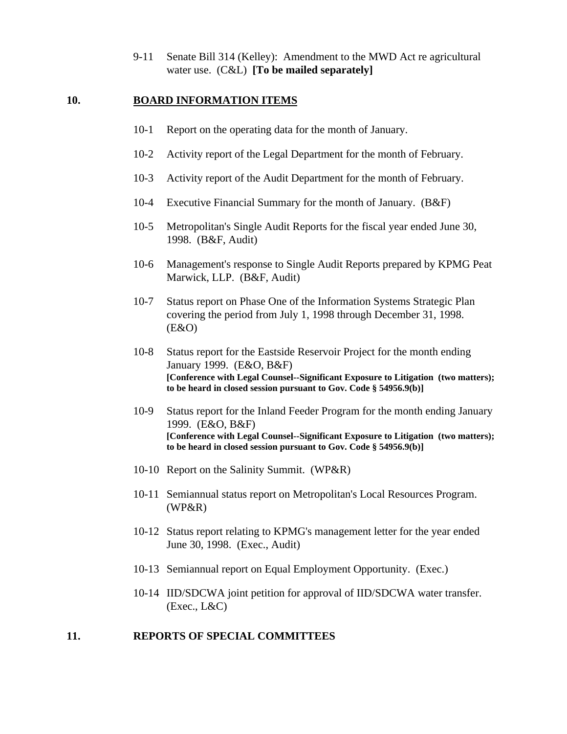9-11 Senate Bill 314 (Kelley): Amendment to the MWD Act re agricultural water use. (C&L) **[To be mailed separately]**

#### **10. BOARD INFORMATION ITEMS**

- 10-1 Report on the operating data for the month of January.
- 10-2 Activity report of the Legal Department for the month of February.
- 10-3 Activity report of the Audit Department for the month of February.
- 10-4 Executive Financial Summary for the month of January. (B&F)
- 10-5 Metropolitan's Single Audit Reports for the fiscal year ended June 30, 1998. (B&F, Audit)
- 10-6 Management's response to Single Audit Reports prepared by KPMG Peat Marwick, LLP. (B&F, Audit)
- 10-7 Status report on Phase One of the Information Systems Strategic Plan covering the period from July 1, 1998 through December 31, 1998. (E&O)
- 10-8 Status report for the Eastside Reservoir Project for the month ending January 1999. (E&O, B&F) **[Conference with Legal Counsel--Significant Exposure to Litigation (two matters); to be heard in closed session pursuant to Gov. Code § 54956.9(b)]**
- 10-9 Status report for the Inland Feeder Program for the month ending January 1999. (E&O, B&F) **[Conference with Legal Counsel--Significant Exposure to Litigation (two matters); to be heard in closed session pursuant to Gov. Code § 54956.9(b)]**
- 10-10 Report on the Salinity Summit. (WP&R)
- 10-11 Semiannual status report on Metropolitan's Local Resources Program. (WP&R)
- 10-12 Status report relating to KPMG's management letter for the year ended June 30, 1998. (Exec., Audit)
- 10-13 Semiannual report on Equal Employment Opportunity. (Exec.)
- 10-14 IID/SDCWA joint petition for approval of IID/SDCWA water transfer. (Exec., L&C)

## **11. REPORTS OF SPECIAL COMMITTEES**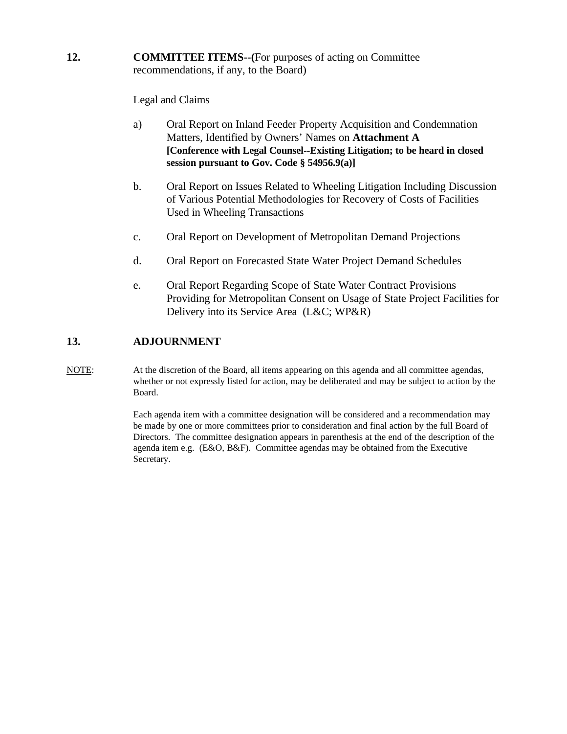**12. COMMITTEE ITEMS--(**For purposes of acting on Committee recommendations, if any, to the Board)

Legal and Claims

- a) Oral Report on Inland Feeder Property Acquisition and Condemnation Matters, Identified by Owners' Names on **Attachment A [Conference with Legal Counsel--Existing Litigation; to be heard in closed session pursuant to Gov. Code § 54956.9(a)]**
- b. Oral Report on Issues Related to Wheeling Litigation Including Discussion of Various Potential Methodologies for Recovery of Costs of Facilities Used in Wheeling Transactions
- c. Oral Report on Development of Metropolitan Demand Projections
- d. Oral Report on Forecasted State Water Project Demand Schedules
- e. Oral Report Regarding Scope of State Water Contract Provisions Providing for Metropolitan Consent on Usage of State Project Facilities for Delivery into its Service Area (L&C; WP&R)

#### **13. ADJOURNMENT**

NOTE: At the discretion of the Board, all items appearing on this agenda and all committee agendas, whether or not expressly listed for action, may be deliberated and may be subject to action by the Board.

> Each agenda item with a committee designation will be considered and a recommendation may be made by one or more committees prior to consideration and final action by the full Board of Directors. The committee designation appears in parenthesis at the end of the description of the agenda item e.g. (E&O, B&F). Committee agendas may be obtained from the Executive Secretary.